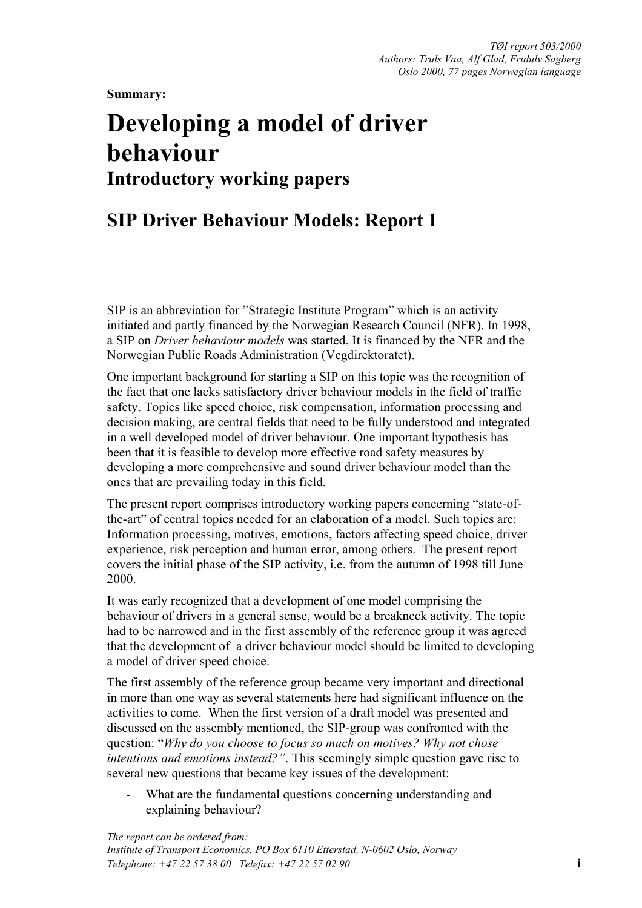**Summary:** 

## **Developing a model of driver behaviour Introductory working papers**

## **SIP Driver Behaviour Models: Report 1**

SIP is an abbreviation for "Strategic Institute Program" which is an activity initiated and partly financed by the Norwegian Research Council (NFR). In 1998, a SIP on *Driver behaviour models* was started. It is financed by the NFR and the Norwegian Public Roads Administration (Vegdirektoratet).

One important background for starting a SIP on this topic was the recognition of the fact that one lacks satisfactory driver behaviour models in the field of traffic safety. Topics like speed choice, risk compensation, information processing and decision making, are central fields that need to be fully understood and integrated in a well developed model of driver behaviour. One important hypothesis has been that it is feasible to develop more effective road safety measures by developing a more comprehensive and sound driver behaviour model than the ones that are prevailing today in this field.

The present report comprises introductory working papers concerning "state-ofthe-art" of central topics needed for an elaboration of a model. Such topics are: Information processing, motives, emotions, factors affecting speed choice, driver experience, risk perception and human error, among others. The present report covers the initial phase of the SIP activity, i.e. from the autumn of 1998 till June 2000.

It was early recognized that a development of one model comprising the behaviour of drivers in a general sense, would be a breakneck activity. The topic had to be narrowed and in the first assembly of the reference group it was agreed that the development of a driver behaviour model should be limited to developing a model of driver speed choice.

The first assembly of the reference group became very important and directional in more than one way as several statements here had significant influence on the activities to come. When the first version of a draft model was presented and discussed on the assembly mentioned, the SIP-group was confronted with the question: "*Why do you choose to focus so much on motives? Why not chose intentions and emotions instead?"*. This seemingly simple question gave rise to several new questions that became key issues of the development:

What are the fundamental questions concerning understanding and explaining behaviour?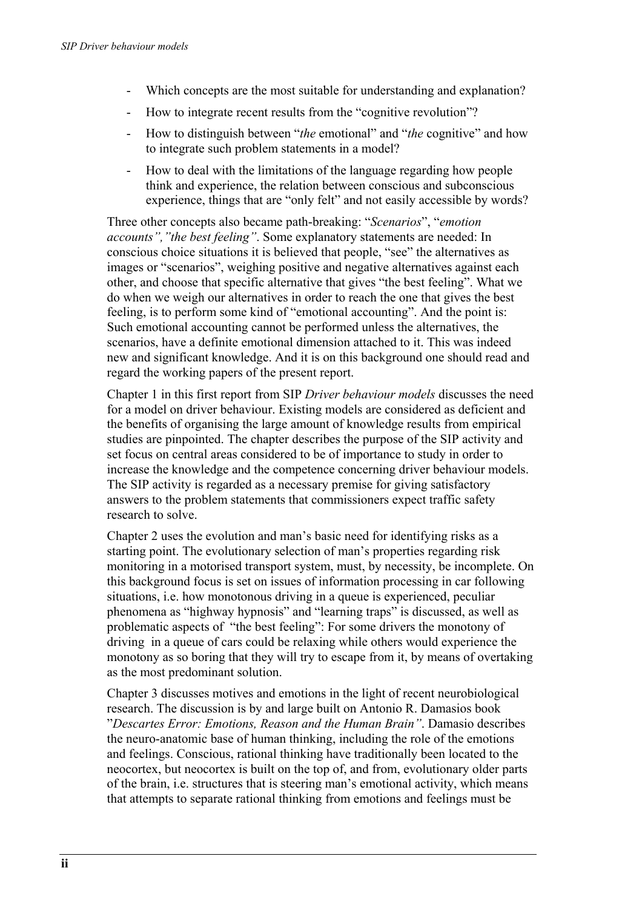- Which concepts are the most suitable for understanding and explanation?
- How to integrate recent results from the "cognitive revolution"?
- How to distinguish between "*the* emotional" and "*the* cognitive" and how to integrate such problem statements in a model?
- How to deal with the limitations of the language regarding how people think and experience, the relation between conscious and subconscious experience, things that are "only felt" and not easily accessible by words?

Three other concepts also became path-breaking: "*Scenarios*", "*emotion accounts","the best feeling"*. Some explanatory statements are needed: In conscious choice situations it is believed that people, "see" the alternatives as images or "scenarios", weighing positive and negative alternatives against each other, and choose that specific alternative that gives "the best feeling". What we do when we weigh our alternatives in order to reach the one that gives the best feeling, is to perform some kind of "emotional accounting". And the point is: Such emotional accounting cannot be performed unless the alternatives, the scenarios, have a definite emotional dimension attached to it. This was indeed new and significant knowledge. And it is on this background one should read and regard the working papers of the present report.

Chapter 1 in this first report from SIP *Driver behaviour models* discusses the need for a model on driver behaviour. Existing models are considered as deficient and the benefits of organising the large amount of knowledge results from empirical studies are pinpointed. The chapter describes the purpose of the SIP activity and set focus on central areas considered to be of importance to study in order to increase the knowledge and the competence concerning driver behaviour models. The SIP activity is regarded as a necessary premise for giving satisfactory answers to the problem statements that commissioners expect traffic safety research to solve.

Chapter 2 uses the evolution and man's basic need for identifying risks as a starting point. The evolutionary selection of man's properties regarding risk monitoring in a motorised transport system, must, by necessity, be incomplete. On this background focus is set on issues of information processing in car following situations, i.e. how monotonous driving in a queue is experienced, peculiar phenomena as "highway hypnosis" and "learning traps" is discussed, as well as problematic aspects of "the best feeling": For some drivers the monotony of driving in a queue of cars could be relaxing while others would experience the monotony as so boring that they will try to escape from it, by means of overtaking as the most predominant solution.

Chapter 3 discusses motives and emotions in the light of recent neurobiological research. The discussion is by and large built on Antonio R. Damasios book "*Descartes Error: Emotions, Reason and the Human Brain"*. Damasio describes the neuro-anatomic base of human thinking, including the role of the emotions and feelings. Conscious, rational thinking have traditionally been located to the neocortex, but neocortex is built on the top of, and from, evolutionary older parts of the brain, i.e. structures that is steering man's emotional activity, which means that attempts to separate rational thinking from emotions and feelings must be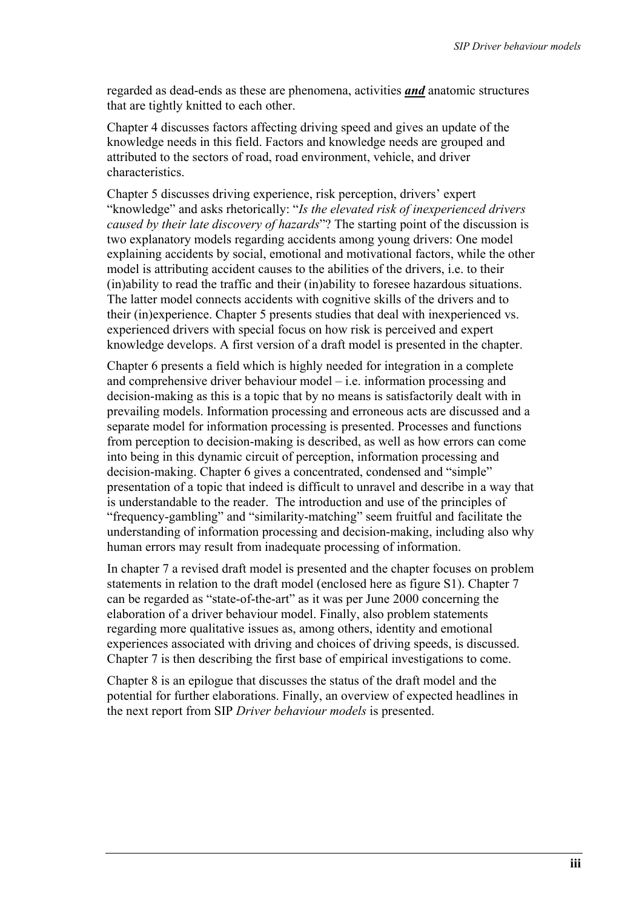regarded as dead-ends as these are phenomena, activities *and* anatomic structures that are tightly knitted to each other.

Chapter 4 discusses factors affecting driving speed and gives an update of the knowledge needs in this field. Factors and knowledge needs are grouped and attributed to the sectors of road, road environment, vehicle, and driver characteristics.

Chapter 5 discusses driving experience, risk perception, drivers' expert "knowledge" and asks rhetorically: "*Is the elevated risk of inexperienced drivers caused by their late discovery of hazards*"? The starting point of the discussion is two explanatory models regarding accidents among young drivers: One model explaining accidents by social, emotional and motivational factors, while the other model is attributing accident causes to the abilities of the drivers, i.e. to their (in)ability to read the traffic and their (in)ability to foresee hazardous situations. The latter model connects accidents with cognitive skills of the drivers and to their (in)experience. Chapter 5 presents studies that deal with inexperienced vs. experienced drivers with special focus on how risk is perceived and expert knowledge develops. A first version of a draft model is presented in the chapter.

Chapter 6 presents a field which is highly needed for integration in a complete and comprehensive driver behaviour model – i.e. information processing and decision-making as this is a topic that by no means is satisfactorily dealt with in prevailing models. Information processing and erroneous acts are discussed and a separate model for information processing is presented. Processes and functions from perception to decision-making is described, as well as how errors can come into being in this dynamic circuit of perception, information processing and decision-making. Chapter 6 gives a concentrated, condensed and "simple" presentation of a topic that indeed is difficult to unravel and describe in a way that is understandable to the reader. The introduction and use of the principles of "frequency-gambling" and "similarity-matching" seem fruitful and facilitate the understanding of information processing and decision-making, including also why human errors may result from inadequate processing of information.

In chapter 7 a revised draft model is presented and the chapter focuses on problem statements in relation to the draft model (enclosed here as figure S1). Chapter 7 can be regarded as "state-of-the-art" as it was per June 2000 concerning the elaboration of a driver behaviour model. Finally, also problem statements regarding more qualitative issues as, among others, identity and emotional experiences associated with driving and choices of driving speeds, is discussed. Chapter 7 is then describing the first base of empirical investigations to come.

Chapter 8 is an epilogue that discusses the status of the draft model and the potential for further elaborations. Finally, an overview of expected headlines in the next report from SIP *Driver behaviour models* is presented.